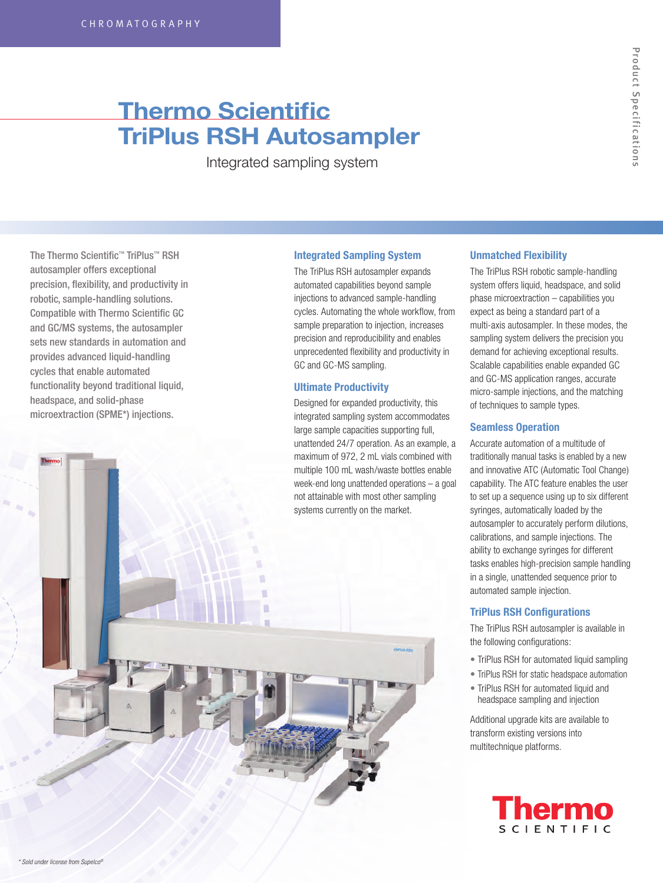# **Thermo Scientific TriPlus RSH Autosampler**

Integrated sampling system

The Thermo Scientific™ TriPlus™ RSH autosampler offers exceptional precision, flexibility, and productivity in robotic, sample-handling solutions. Compatible with Thermo Scientific GC and GC/MS systems, the autosampler sets new standards in automation and provides advanced liquid-handling cycles that enable automated functionality beyond traditional liquid, headspace, and solid-phase microextraction (SPME\*) injections.

# **Integrated Sampling System**

The TriPlus RSH autosampler expands automated capabilities beyond sample injections to advanced sample-handling cycles. Automating the whole workflow, from sample preparation to injection, increases precision and reproducibility and enables unprecedented flexibility and productivity in GC and GC-MS sampling.

# **Ultimate Productivity**

Designed for expanded productivity, this integrated sampling system accommodates large sample capacities supporting full, unattended 24/7 operation. As an example, a maximum of 972, 2 mL vials combined with multiple 100 mL wash/waste bottles enable week-end long unattended operations – a goal not attainable with most other sampling



# **Unmatched Flexibility**

The TriPlus RSH robotic sample-handling system offers liquid, headspace, and solid phase microextraction – capabilities you expect as being a standard part of a multi-axis autosampler. In these modes, the sampling system delivers the precision you demand for achieving exceptional results. Scalable capabilities enable expanded GC and GC-MS application ranges, accurate micro-sample injections, and the matching of techniques to sample types.

# **Seamless Operation**

Accurate automation of a multitude of traditionally manual tasks is enabled by a new and innovative ATC (Automatic Tool Change) capability. The ATC feature enables the user to set up a sequence using up to six different syringes, automatically loaded by the autosampler to accurately perform dilutions, calibrations, and sample injections. The ability to exchange syringes for different tasks enables high-precision sample handling in a single, unattended sequence prior to automated sample injection.

# **TriPlus RSH Configurations**

The TriPlus RSH autosampler is available in the following configurations:

- TriPlus RSH for automated liquid sampling
- TriPlus RSH for static headspace automation
- TriPlus RSH for automated liquid and headspace sampling and injection

Additional upgrade kits are available to transform existing versions into multitechnique platforms.